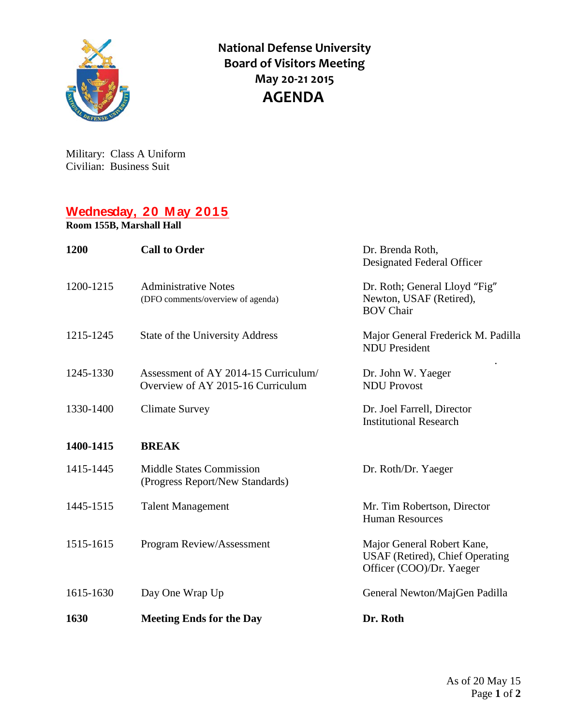

**National Defense University Board of Visitors Meeting May 20-21 2015 AGENDA**

Military: Class A Uniform Civilian: Business Suit

## **Wednesday, 20 M ay 2015**

**Room 155B, Marshall Hall**

| 1200      | <b>Call to Order</b>                                                      | Dr. Brenda Roth,<br>Designated Federal Officer                                            |
|-----------|---------------------------------------------------------------------------|-------------------------------------------------------------------------------------------|
| 1200-1215 | <b>Administrative Notes</b><br>(DFO comments/overview of agenda)          | Dr. Roth; General Lloyd "Fig"<br>Newton, USAF (Retired),<br><b>BOV Chair</b>              |
| 1215-1245 | State of the University Address                                           | Major General Frederick M. Padilla<br><b>NDU</b> President                                |
| 1245-1330 | Assessment of AY 2014-15 Curriculum/<br>Overview of AY 2015-16 Curriculum | Dr. John W. Yaeger<br><b>NDU Provost</b>                                                  |
| 1330-1400 | <b>Climate Survey</b>                                                     | Dr. Joel Farrell, Director<br><b>Institutional Research</b>                               |
| 1400-1415 | <b>BREAK</b>                                                              |                                                                                           |
| 1415-1445 | <b>Middle States Commission</b><br>(Progress Report/New Standards)        | Dr. Roth/Dr. Yaeger                                                                       |
| 1445-1515 | <b>Talent Management</b>                                                  | Mr. Tim Robertson, Director<br><b>Human Resources</b>                                     |
| 1515-1615 | Program Review/Assessment                                                 | Major General Robert Kane,<br>USAF (Retired), Chief Operating<br>Officer (COO)/Dr. Yaeger |
| 1615-1630 | Day One Wrap Up                                                           | General Newton/MajGen Padilla                                                             |
| 1630      | <b>Meeting Ends for the Day</b>                                           | Dr. Roth                                                                                  |